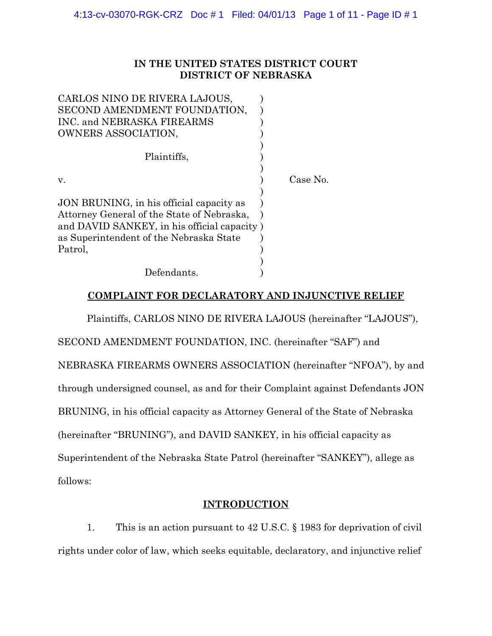# **IN THE UNITED STATES DISTRICT COURT DISTRICT OF NEBRASKA**

| CARLOS NINO DE RIVERA LAJOUS,               |          |
|---------------------------------------------|----------|
| SECOND AMENDMENT FOUNDATION,                |          |
| INC. and NEBRASKA FIREARMS                  |          |
| OWNERS ASSOCIATION,                         |          |
|                                             |          |
| Plaintiffs,                                 |          |
|                                             |          |
| v.                                          | Case No. |
|                                             |          |
| JON BRUNING, in his official capacity as    |          |
| Attorney General of the State of Nebraska,  |          |
| and DAVID SANKEY, in his official capacity) |          |
| as Superintendent of the Nebraska State     |          |
| Patrol,                                     |          |
|                                             |          |
| Defendants.                                 |          |

# **COMPLAINT FOR DECLARATORY AND INJUNCTIVE RELIEF**

Plaintiffs, CARLOS NINO DE RIVERA LAJOUS (hereinafter "LAJOUS"),

SECOND AMENDMENT FOUNDATION, INC. (hereinafter "SAF") and

NEBRASKA FIREARMS OWNERS ASSOCIATION (hereinafter "NFOA"), by and

through undersigned counsel, as and for their Complaint against Defendants JON

BRUNING, in his official capacity as Attorney General of the State of Nebraska

(hereinafter "BRUNING"), and DAVID SANKEY, in his official capacity as

Superintendent of the Nebraska State Patrol (hereinafter "SANKEY"), allege as

follows:

# **INTRODUCTION**

1. This is an action pursuant to 42 U.S.C. § 1983 for deprivation of civil rights under color of law, which seeks equitable, declaratory, and injunctive relief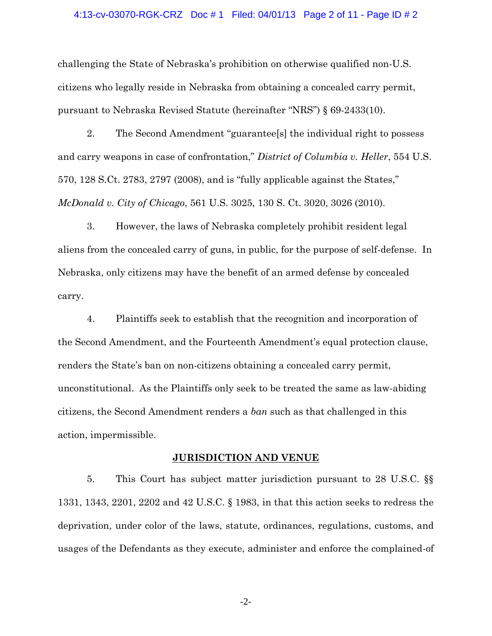#### 4:13-cv-03070-RGK-CRZ Doc # 1 Filed: 04/01/13 Page 2 of 11 - Page ID # 2

challenging the State of Nebraska's prohibition on otherwise qualified non-U.S. citizens who legally reside in Nebraska from obtaining a concealed carry permit, pursuant to Nebraska Revised Statute (hereinafter "NRS") § 69-2433(10).

2. The Second Amendment "guarantee[s] the individual right to possess and carry weapons in case of confrontation," *District of Columbia v. Heller*, 554 U.S. 570, 128 S.Ct. 2783, 2797 (2008), and is "fully applicable against the States," *McDonald v. City of Chicago*, 561 U.S. 3025, 130 S. Ct. 3020, 3026 (2010).

3. However, the laws of Nebraska completely prohibit resident legal aliens from the concealed carry of guns, in public, for the purpose of self-defense. In Nebraska, only citizens may have the benefit of an armed defense by concealed carry.

4. Plaintiffs seek to establish that the recognition and incorporation of the Second Amendment, and the Fourteenth Amendment's equal protection clause, renders the State's ban on non-citizens obtaining a concealed carry permit, unconstitutional. As the Plaintiffs only seek to be treated the same as law-abiding citizens, the Second Amendment renders a *ban* such as that challenged in this action, impermissible.

#### **JURISDICTION AND VENUE**

5. This Court has subject matter jurisdiction pursuant to 28 U.S.C. §§ 1331, 1343, 2201, 2202 and 42 U.S.C. § 1983, in that this action seeks to redress the deprivation, under color of the laws, statute, ordinances, regulations, customs, and usages of the Defendants as they execute, administer and enforce the complained-of

-2-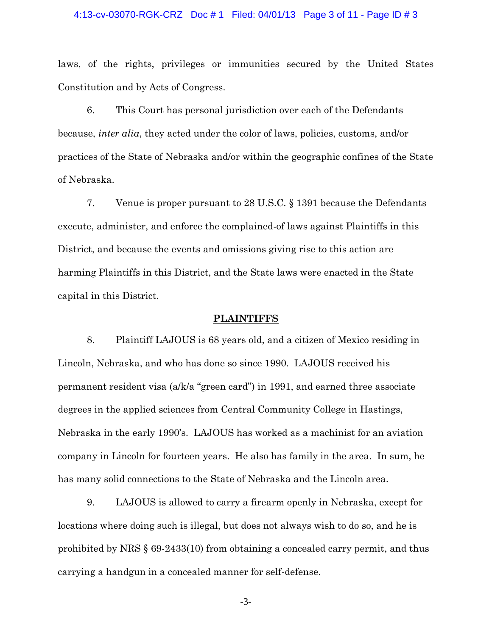#### 4:13-cv-03070-RGK-CRZ Doc # 1 Filed: 04/01/13 Page 3 of 11 - Page ID # 3

laws, of the rights, privileges or immunities secured by the United States Constitution and by Acts of Congress.

6. This Court has personal jurisdiction over each of the Defendants because, *inter alia*, they acted under the color of laws, policies, customs, and/or practices of the State of Nebraska and/or within the geographic confines of the State of Nebraska.

7. Venue is proper pursuant to 28 U.S.C. § 1391 because the Defendants execute, administer, and enforce the complained-of laws against Plaintiffs in this District, and because the events and omissions giving rise to this action are harming Plaintiffs in this District, and the State laws were enacted in the State capital in this District.

#### **PLAINTIFFS**

8. Plaintiff LAJOUS is 68 years old, and a citizen of Mexico residing in Lincoln, Nebraska, and who has done so since 1990. LAJOUS received his permanent resident visa (a/k/a "green card") in 1991, and earned three associate degrees in the applied sciences from Central Community College in Hastings, Nebraska in the early 1990's. LAJOUS has worked as a machinist for an aviation company in Lincoln for fourteen years. He also has family in the area. In sum, he has many solid connections to the State of Nebraska and the Lincoln area.

9. LAJOUS is allowed to carry a firearm openly in Nebraska, except for locations where doing such is illegal, but does not always wish to do so, and he is prohibited by NRS § 69-2433(10) from obtaining a concealed carry permit, and thus carrying a handgun in a concealed manner for self-defense.

-3-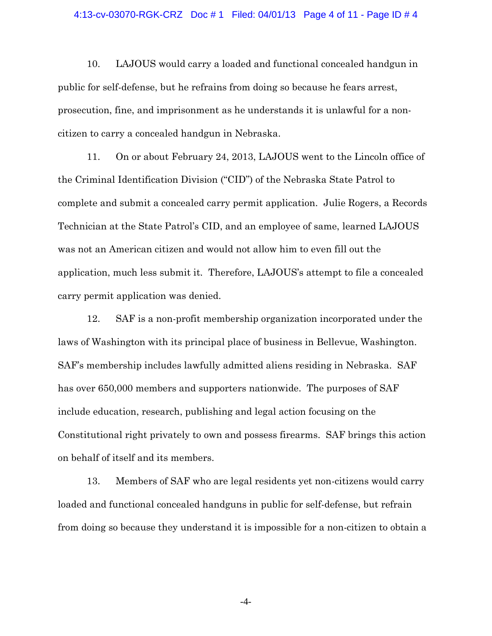#### 4:13-cv-03070-RGK-CRZ Doc # 1 Filed: 04/01/13 Page 4 of 11 - Page ID # 4

10. LAJOUS would carry a loaded and functional concealed handgun in public for self-defense, but he refrains from doing so because he fears arrest, prosecution, fine, and imprisonment as he understands it is unlawful for a noncitizen to carry a concealed handgun in Nebraska.

11. On or about February 24, 2013, LAJOUS went to the Lincoln office of the Criminal Identification Division ("CID") of the Nebraska State Patrol to complete and submit a concealed carry permit application. Julie Rogers, a Records Technician at the State Patrol's CID, and an employee of same, learned LAJOUS was not an American citizen and would not allow him to even fill out the application, much less submit it. Therefore, LAJOUS's attempt to file a concealed carry permit application was denied.

12. SAF is a non-profit membership organization incorporated under the laws of Washington with its principal place of business in Bellevue, Washington. SAF's membership includes lawfully admitted aliens residing in Nebraska. SAF has over 650,000 members and supporters nationwide. The purposes of SAF include education, research, publishing and legal action focusing on the Constitutional right privately to own and possess firearms. SAF brings this action on behalf of itself and its members.

13. Members of SAF who are legal residents yet non-citizens would carry loaded and functional concealed handguns in public for self-defense, but refrain from doing so because they understand it is impossible for a non-citizen to obtain a

-4-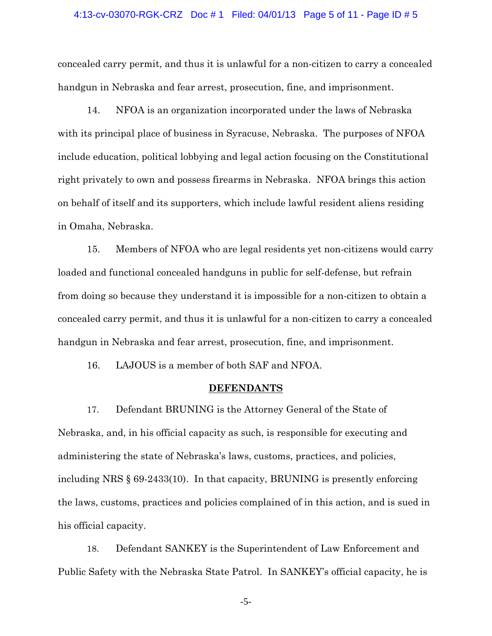#### 4:13-cv-03070-RGK-CRZ Doc # 1 Filed: 04/01/13 Page 5 of 11 - Page ID # 5

concealed carry permit, and thus it is unlawful for a non-citizen to carry a concealed handgun in Nebraska and fear arrest, prosecution, fine, and imprisonment.

14. NFOA is an organization incorporated under the laws of Nebraska with its principal place of business in Syracuse, Nebraska. The purposes of NFOA include education, political lobbying and legal action focusing on the Constitutional right privately to own and possess firearms in Nebraska. NFOA brings this action on behalf of itself and its supporters, which include lawful resident aliens residing in Omaha, Nebraska.

15. Members of NFOA who are legal residents yet non-citizens would carry loaded and functional concealed handguns in public for self-defense, but refrain from doing so because they understand it is impossible for a non-citizen to obtain a concealed carry permit, and thus it is unlawful for a non-citizen to carry a concealed handgun in Nebraska and fear arrest, prosecution, fine, and imprisonment.

16. LAJOUS is a member of both SAF and NFOA.

#### **DEFENDANTS**

17. Defendant BRUNING is the Attorney General of the State of Nebraska, and, in his official capacity as such, is responsible for executing and administering the state of Nebraska's laws, customs, practices, and policies, including NRS § 69-2433(10). In that capacity, BRUNING is presently enforcing the laws, customs, practices and policies complained of in this action, and is sued in his official capacity.

18. Defendant SANKEY is the Superintendent of Law Enforcement and Public Safety with the Nebraska State Patrol. In SANKEY's official capacity, he is

-5-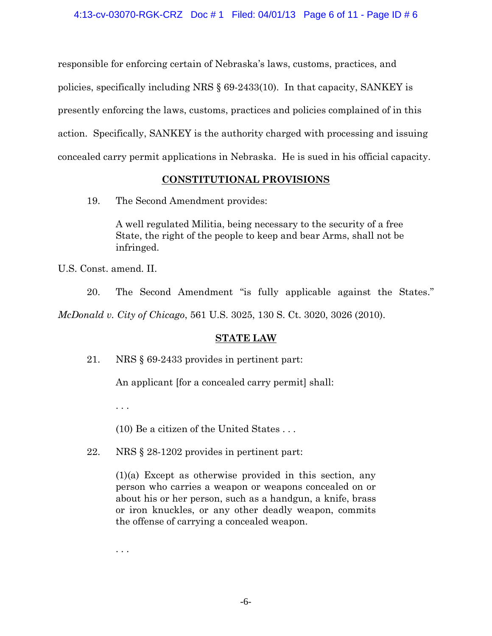responsible for enforcing certain of Nebraska's laws, customs, practices, and policies, specifically including NRS § 69-2433(10). In that capacity, SANKEY is presently enforcing the laws, customs, practices and policies complained of in this action. Specifically, SANKEY is the authority charged with processing and issuing concealed carry permit applications in Nebraska. He is sued in his official capacity.

# **CONSTITUTIONAL PROVISIONS**

19. The Second Amendment provides:

A well regulated Militia, being necessary to the security of a free State, the right of the people to keep and bear Arms, shall not be infringed.

U.S. Const. amend. II.

20. The Second Amendment "is fully applicable against the States."

*McDonald v. City of Chicago*, 561 U.S. 3025, 130 S. Ct. 3020, 3026 (2010).

# **STATE LAW**

21. NRS § 69-2433 provides in pertinent part:

An applicant [for a concealed carry permit] shall:

. . .

(10) Be a citizen of the United States . . .

22. NRS § 28-1202 provides in pertinent part:

(1)(a) Except as otherwise provided in this section, any person who carries a weapon or weapons concealed on or about his or her person, such as a handgun, a knife, brass or iron knuckles, or any other deadly weapon, commits the offense of carrying a concealed weapon.

. . .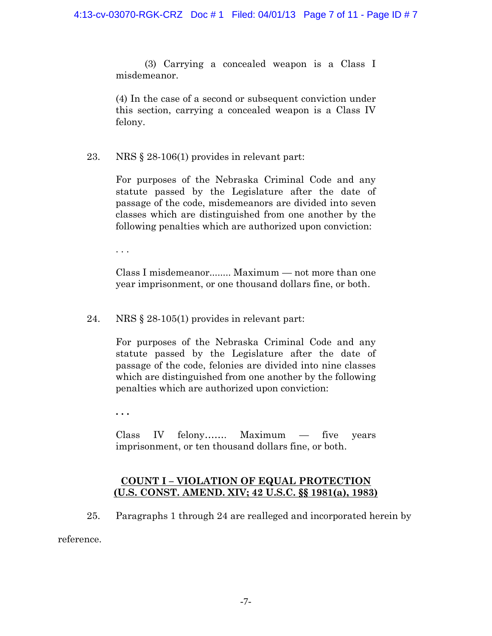(3) Carrying a concealed weapon is a Class I misdemeanor.

(4) In the case of a second or subsequent conviction under this section, carrying a concealed weapon is a Class IV felony.

23. NRS § 28-106(1) provides in relevant part:

For purposes of the Nebraska Criminal Code and any statute passed by the Legislature after the date of passage of the code, misdemeanors are divided into seven classes which are distinguished from one another by the following penalties which are authorized upon conviction:

. . .

Class I misdemeanor........ Maximum — not more than one year imprisonment, or one thousand dollars fine, or both.

24. NRS § 28-105(1) provides in relevant part:

For purposes of the Nebraska Criminal Code and any statute passed by the Legislature after the date of passage of the code, felonies are divided into nine classes which are distinguished from one another by the following penalties which are authorized upon conviction:

**. . .** 

Class IV felony……. Maximum — five years imprisonment, or ten thousand dollars fine, or both.

# **COUNT I – VIOLATION OF EQUAL PROTECTION (U.S. CONST. AMEND. XIV; 42 U.S.C. §§ 1981(a), 1983)**

25. Paragraphs 1 through 24 are realleged and incorporated herein by

reference.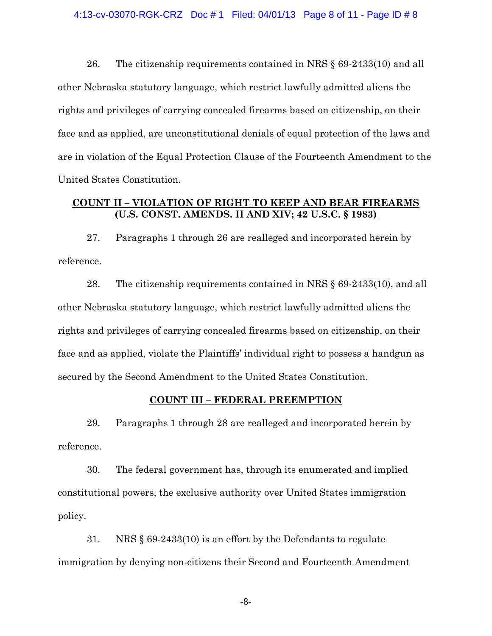26. The citizenship requirements contained in NRS § 69-2433(10) and all other Nebraska statutory language, which restrict lawfully admitted aliens the rights and privileges of carrying concealed firearms based on citizenship, on their face and as applied, are unconstitutional denials of equal protection of the laws and are in violation of the Equal Protection Clause of the Fourteenth Amendment to the United States Constitution.

### **COUNT II – VIOLATION OF RIGHT TO KEEP AND BEAR FIREARMS (U.S. CONST. AMENDS. II AND XIV; 42 U.S.C. § 1983)**

27. Paragraphs 1 through 26 are realleged and incorporated herein by reference.

28. The citizenship requirements contained in NRS § 69-2433(10), and all other Nebraska statutory language, which restrict lawfully admitted aliens the rights and privileges of carrying concealed firearms based on citizenship, on their face and as applied, violate the Plaintiffs' individual right to possess a handgun as secured by the Second Amendment to the United States Constitution.

### **COUNT III – FEDERAL PREEMPTION**

29. Paragraphs 1 through 28 are realleged and incorporated herein by reference.

30. The federal government has, through its enumerated and implied constitutional powers, the exclusive authority over United States immigration policy.

31. NRS § 69-2433(10) is an effort by the Defendants to regulate immigration by denying non-citizens their Second and Fourteenth Amendment

-8-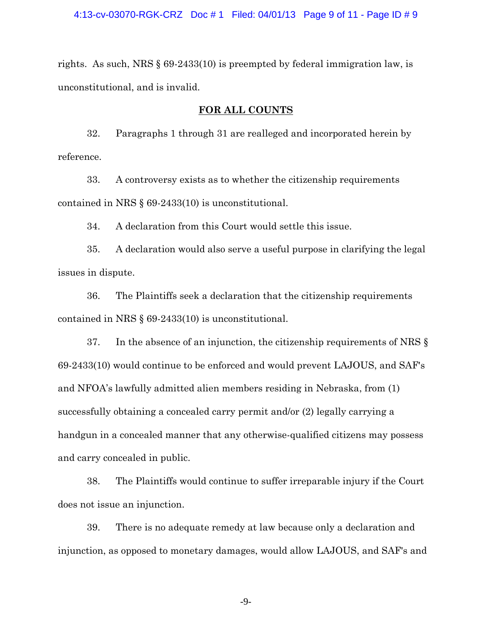rights. As such, NRS § 69-2433(10) is preempted by federal immigration law, is unconstitutional, and is invalid.

#### **FOR ALL COUNTS**

32. Paragraphs 1 through 31 are realleged and incorporated herein by reference.

33. A controversy exists as to whether the citizenship requirements contained in NRS § 69-2433(10) is unconstitutional.

34. A declaration from this Court would settle this issue.

35. A declaration would also serve a useful purpose in clarifying the legal issues in dispute.

36. The Plaintiffs seek a declaration that the citizenship requirements contained in NRS § 69-2433(10) is unconstitutional.

37. In the absence of an injunction, the citizenship requirements of NRS § 69-2433(10) would continue to be enforced and would prevent LAJOUS, and SAF's and NFOA's lawfully admitted alien members residing in Nebraska, from (1) successfully obtaining a concealed carry permit and/or (2) legally carrying a handgun in a concealed manner that any otherwise-qualified citizens may possess and carry concealed in public.

38. The Plaintiffs would continue to suffer irreparable injury if the Court does not issue an injunction.

39. There is no adequate remedy at law because only a declaration and injunction, as opposed to monetary damages, would allow LAJOUS, and SAF's and

-9-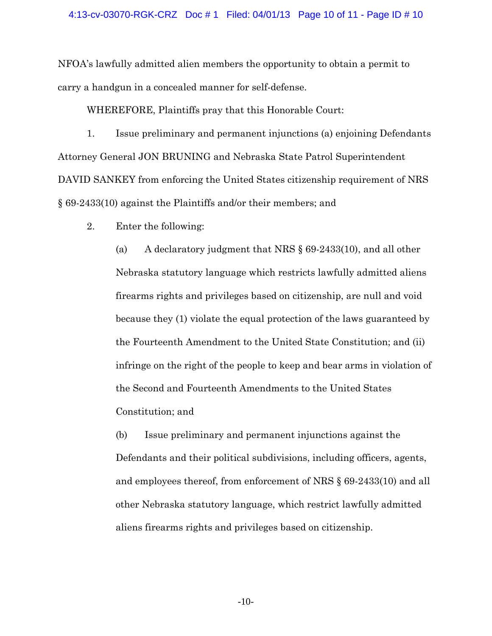#### 4:13-cv-03070-RGK-CRZ Doc # 1 Filed: 04/01/13 Page 10 of 11 - Page ID # 10

NFOA's lawfully admitted alien members the opportunity to obtain a permit to carry a handgun in a concealed manner for self-defense.

WHEREFORE, Plaintiffs pray that this Honorable Court:

1. Issue preliminary and permanent injunctions (a) enjoining Defendants Attorney General JON BRUNING and Nebraska State Patrol Superintendent DAVID SANKEY from enforcing the United States citizenship requirement of NRS § 69-2433(10) against the Plaintiffs and/or their members; and

2. Enter the following:

(a) A declaratory judgment that NRS § 69-2433(10), and all other Nebraska statutory language which restricts lawfully admitted aliens firearms rights and privileges based on citizenship, are null and void because they (1) violate the equal protection of the laws guaranteed by the Fourteenth Amendment to the United State Constitution; and (ii) infringe on the right of the people to keep and bear arms in violation of the Second and Fourteenth Amendments to the United States Constitution; and

(b) Issue preliminary and permanent injunctions against the Defendants and their political subdivisions, including officers, agents, and employees thereof, from enforcement of NRS § 69-2433(10) and all other Nebraska statutory language, which restrict lawfully admitted aliens firearms rights and privileges based on citizenship.

-10-